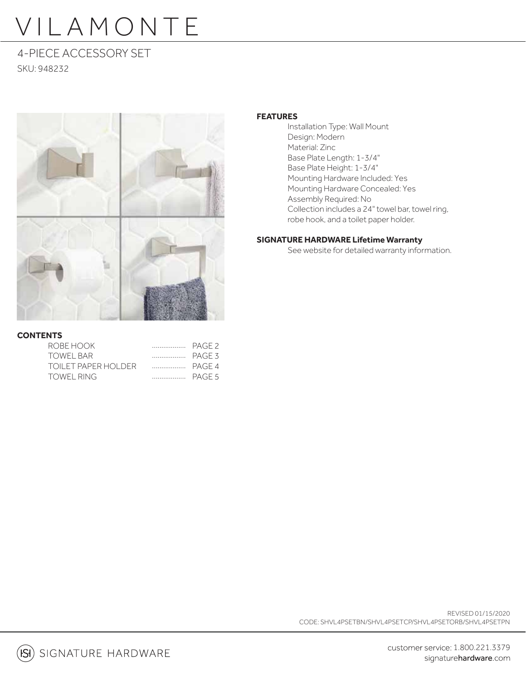4-PIECE ACCESSORY SET SKU: 948232



### **CONTENTS**

| ROBE HOOK           |  |
|---------------------|--|
| TOWFI BAR           |  |
| TOILET PAPER HOLDER |  |
| <b>TOWEL RING</b>   |  |

### **FEATURES**

 Installation Type: Wall Mount Design: Modern Material: Zinc Base Plate Length: 1-3/4" Base Plate Height: 1-3/4" Mounting Hardware Included: Yes Mounting Hardware Concealed: Yes Assembly Required: No Collection includes a 24" towel bar, towel ring, robe hook, and a toilet paper holder.

### **SIGNATURE HARDWARE Lifetime Warranty**

See website for detailed warranty information.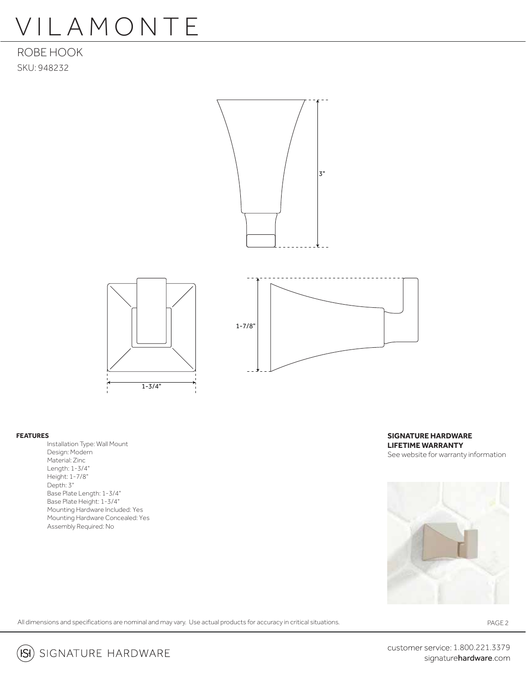ROBE HOOK SKU: 948232



#### **FEATURES**

 Installation Type: Wall Mount Design: Modern Material: Zinc Length: 1-3/4" Height: 1-7/8" Depth: 3" Base Plate Length: 1-3/4" Base Plate Height: 1-3/4" Mounting Hardware Included: Yes Mounting Hardware Concealed: Yes Assembly Required: No

**SIGNATURE HARDWARE LIFETIME WARRANTY** See website for warranty information



All dimensions and specifications are nominal and may vary. Use actual products for accuracy in critical situations.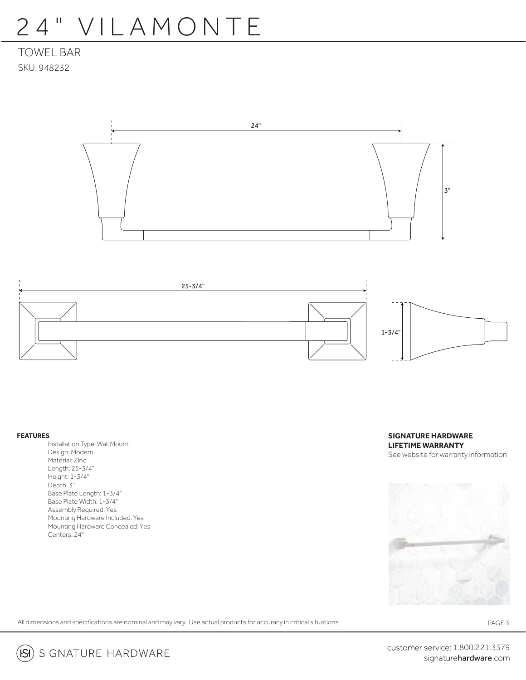### 24" VILAMONTE

TOWEL BAR SKU: 948232





#### **FEATURES**

 Installation Type: Wall Mount Design: Modern Material: Zinc Length: 25-3/4" Height: 1-3/4" Depth: 3" Base Plate Length: 1-3/4" Base Plate Width: 1-3/4" Assembly Required: Yes Mounting Hardware Included: Yes Mounting Hardware Concealed: Yes Centers: 24"

**SIGNATURE HARDWARE LIFETIME WARRANTY** See website for warranty information



All dimensions and specifications are nominal and may vary. Use actual products for accuracy in critical situations.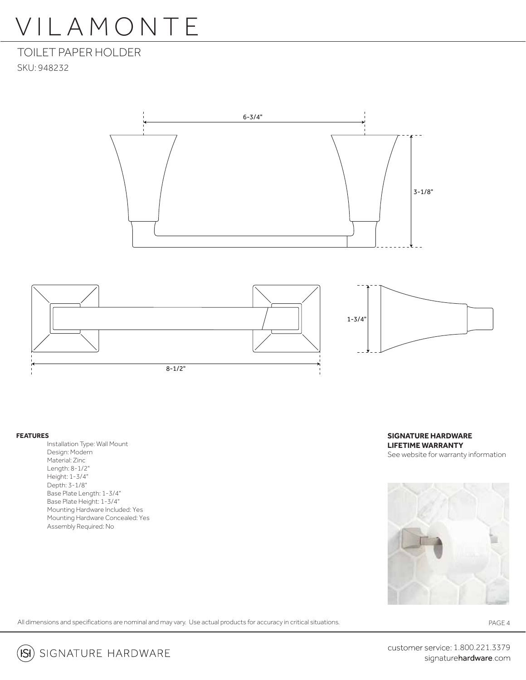TOILET PAPER HOLDER SKU: 948232





#### **FEATURES**

 Installation Type: Wall Mount Design: Modern Material: Zinc Length: 8-1/2" Height: 1-3/4" Depth: 3-1/8" Base Plate Length: 1-3/4" Base Plate Height: 1-3/4" Mounting Hardware Included: Yes Mounting Hardware Concealed: Yes Assembly Required: No

**SIGNATURE HARDWARE LIFETIME WARRANTY** See website for warranty information



All dimensions and specifications are nominal and may vary. Use actual products for accuracy in critical situations.